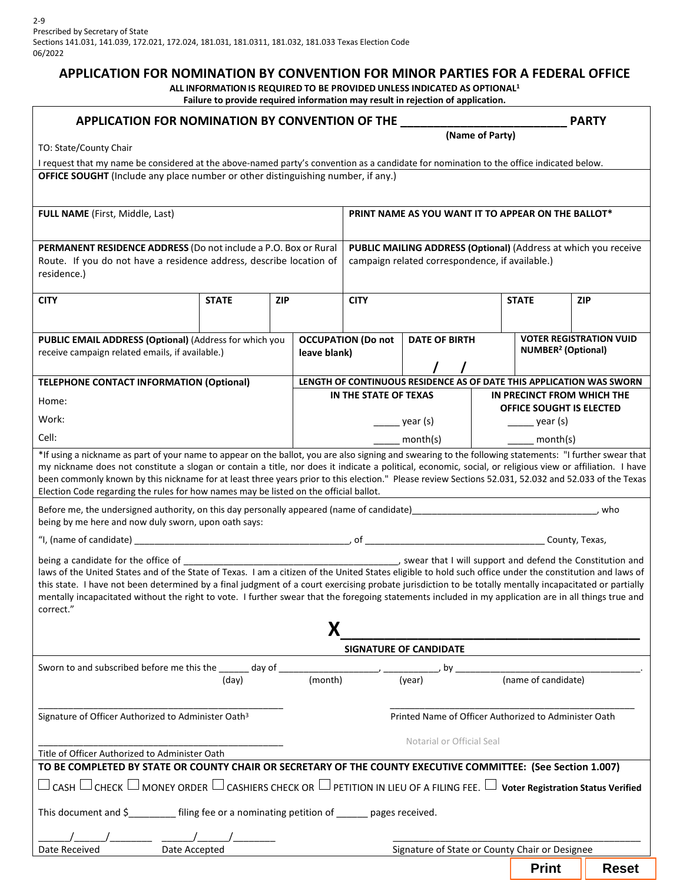## **APPLICATION FOR NOMINATION BY CONVENTION FOR MINOR PARTIES FOR A FEDERAL OFFICE**

**ALL INFORMATIONIS REQUIRED TO BE PROVIDED UNLESS INDICATED AS OPTIONAL1 Failure to provide required information may result in rejection of application.**

| APPLICATION FOR NOMINATION BY CONVENTION OF THE<br><b>PARTY</b>                                                                                                                                                                                                                                                                                                                                                                                                                                                                                                       |                 |            |                                           |                                                                                                                    |                                                |                     |                                                                        |              |  |  |
|-----------------------------------------------------------------------------------------------------------------------------------------------------------------------------------------------------------------------------------------------------------------------------------------------------------------------------------------------------------------------------------------------------------------------------------------------------------------------------------------------------------------------------------------------------------------------|-----------------|------------|-------------------------------------------|--------------------------------------------------------------------------------------------------------------------|------------------------------------------------|---------------------|------------------------------------------------------------------------|--------------|--|--|
| TO: State/County Chair                                                                                                                                                                                                                                                                                                                                                                                                                                                                                                                                                | (Name of Party) |            |                                           |                                                                                                                    |                                                |                     |                                                                        |              |  |  |
| I request that my name be considered at the above-named party's convention as a candidate for nomination to the office indicated below.                                                                                                                                                                                                                                                                                                                                                                                                                               |                 |            |                                           |                                                                                                                    |                                                |                     |                                                                        |              |  |  |
| OFFICE SOUGHT (Include any place number or other distinguishing number, if any.)                                                                                                                                                                                                                                                                                                                                                                                                                                                                                      |                 |            |                                           |                                                                                                                    |                                                |                     |                                                                        |              |  |  |
| <b>FULL NAME</b> (First, Middle, Last)                                                                                                                                                                                                                                                                                                                                                                                                                                                                                                                                |                 |            |                                           | PRINT NAME AS YOU WANT IT TO APPEAR ON THE BALLOT*                                                                 |                                                |                     |                                                                        |              |  |  |
| PERMANENT RESIDENCE ADDRESS (Do not include a P.O. Box or Rural<br>Route. If you do not have a residence address, describe location of<br>residence.)                                                                                                                                                                                                                                                                                                                                                                                                                 |                 |            |                                           | PUBLIC MAILING ADDRESS (Optional) (Address at which you receive<br>campaign related correspondence, if available.) |                                                |                     |                                                                        |              |  |  |
| <b>CITY</b>                                                                                                                                                                                                                                                                                                                                                                                                                                                                                                                                                           | <b>STATE</b>    | <b>ZIP</b> |                                           | <b>CITY</b>                                                                                                        |                                                |                     | <b>STATE</b>                                                           | <b>ZIP</b>   |  |  |
| <b>PUBLIC EMAIL ADDRESS (Optional) (Address for which you</b><br>receive campaign related emails, if available.)                                                                                                                                                                                                                                                                                                                                                                                                                                                      |                 |            | <b>OCCUPATION (Do not</b><br>leave blank) |                                                                                                                    | <b>DATE OF BIRTH</b>                           |                     | <b>VOTER REGISTRATION VUID</b><br><b>NUMBER<sup>2</sup></b> (Optional) |              |  |  |
| <b>TELEPHONE CONTACT INFORMATION (Optional)</b>                                                                                                                                                                                                                                                                                                                                                                                                                                                                                                                       |                 |            |                                           | LENGTH OF CONTINUOUS RESIDENCE AS OF DATE THIS APPLICATION WAS SWORN                                               |                                                |                     |                                                                        |              |  |  |
| Home:                                                                                                                                                                                                                                                                                                                                                                                                                                                                                                                                                                 |                 |            |                                           | IN THE STATE OF TEXAS                                                                                              |                                                |                     | IN PRECINCT FROM WHICH THE                                             |              |  |  |
| Work:                                                                                                                                                                                                                                                                                                                                                                                                                                                                                                                                                                 |                 |            |                                           | $\rule{1em}{0.15mm}$ year (s)                                                                                      |                                                |                     | <b>OFFICE SOUGHT IS ELECTED</b><br>$\frac{1}{\sqrt{2}}$ year (s)       |              |  |  |
| Cell:                                                                                                                                                                                                                                                                                                                                                                                                                                                                                                                                                                 |                 |            |                                           | month(s)                                                                                                           |                                                |                     | month(s)                                                               |              |  |  |
| *If using a nickname as part of your name to appear on the ballot, you are also signing and swearing to the following statements: "I further swear that<br>my nickname does not constitute a slogan or contain a title, nor does it indicate a political, economic, social, or religious view or affiliation. I have<br>been commonly known by this nickname for at least three years prior to this election." Please review Sections 52.031, 52.032 and 52.033 of the Texas<br>Election Code regarding the rules for how names may be listed on the official ballot. |                 |            |                                           |                                                                                                                    |                                                |                     |                                                                        |              |  |  |
| Before me, the undersigned authority, on this day personally appeared (name of candidate)<br>who<br>being by me here and now duly sworn, upon oath says:                                                                                                                                                                                                                                                                                                                                                                                                              |                 |            |                                           |                                                                                                                    |                                                |                     |                                                                        |              |  |  |
|                                                                                                                                                                                                                                                                                                                                                                                                                                                                                                                                                                       |                 |            |                                           |                                                                                                                    |                                                |                     |                                                                        |              |  |  |
| laws of the United States and of the State of Texas. I am a citizen of the United States eligible to hold such office under the constitution and laws of<br>this state. I have not been determined by a final judgment of a court exercising probate jurisdiction to be totally mentally incapacitated or partially<br>mentally incapacitated without the right to vote. I further swear that the foregoing statements included in my application are in all things true and<br>correct."                                                                             |                 |            |                                           |                                                                                                                    |                                                |                     |                                                                        |              |  |  |
|                                                                                                                                                                                                                                                                                                                                                                                                                                                                                                                                                                       |                 |            |                                           | SIGNATURE OF CANDIDATE                                                                                             |                                                |                     |                                                                        |              |  |  |
|                                                                                                                                                                                                                                                                                                                                                                                                                                                                                                                                                                       |                 |            |                                           |                                                                                                                    |                                                | (name of candidate) |                                                                        |              |  |  |
|                                                                                                                                                                                                                                                                                                                                                                                                                                                                                                                                                                       | (day)           |            | (month)                                   |                                                                                                                    |                                                |                     |                                                                        |              |  |  |
| Signature of Officer Authorized to Administer Oath <sup>3</sup><br>Printed Name of Officer Authorized to Administer Oath                                                                                                                                                                                                                                                                                                                                                                                                                                              |                 |            |                                           |                                                                                                                    |                                                |                     |                                                                        |              |  |  |
| Notarial or Official Seal                                                                                                                                                                                                                                                                                                                                                                                                                                                                                                                                             |                 |            |                                           |                                                                                                                    |                                                |                     |                                                                        |              |  |  |
| Title of Officer Authorized to Administer Oath                                                                                                                                                                                                                                                                                                                                                                                                                                                                                                                        |                 |            |                                           |                                                                                                                    |                                                |                     |                                                                        |              |  |  |
| TO BE COMPLETED BY STATE OR COUNTY CHAIR OR SECRETARY OF THE COUNTY EXECUTIVE COMMITTEE: (See Section 1.007)                                                                                                                                                                                                                                                                                                                                                                                                                                                          |                 |            |                                           |                                                                                                                    |                                                |                     |                                                                        |              |  |  |
| $\Box$ CASH $\Box$ CHECK $\Box$ MONEY ORDER $\Box$ CASHIERS CHECK OR $\Box$ PETITION IN LIEU OF A FILING FEE. $\Box$ Voter Registration Status Verified                                                                                                                                                                                                                                                                                                                                                                                                               |                 |            |                                           |                                                                                                                    |                                                |                     |                                                                        |              |  |  |
| This document and \$________ filing fee or a nominating petition of _____ pages received.                                                                                                                                                                                                                                                                                                                                                                                                                                                                             |                 |            |                                           |                                                                                                                    |                                                |                     |                                                                        |              |  |  |
| Date Received<br>Date Accepted                                                                                                                                                                                                                                                                                                                                                                                                                                                                                                                                        |                 |            |                                           |                                                                                                                    | Signature of State or County Chair or Designee |                     |                                                                        |              |  |  |
|                                                                                                                                                                                                                                                                                                                                                                                                                                                                                                                                                                       |                 |            |                                           |                                                                                                                    |                                                |                     | <b>Print</b>                                                           | <b>Reset</b> |  |  |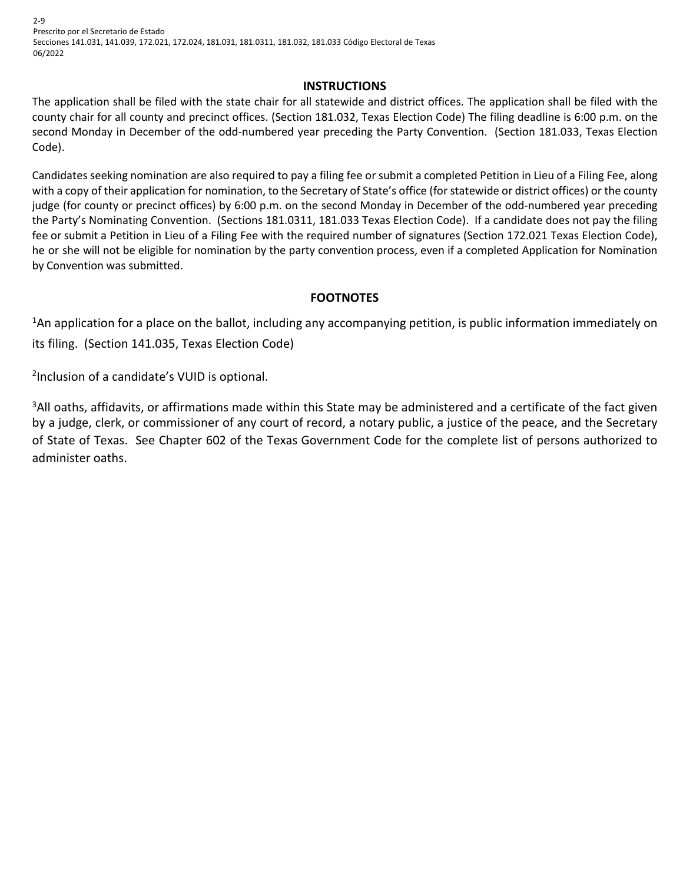2-9 Prescrito por el Secretario de Estado Secciones 141.031, 141.039, 172.021, 172.024, 181.031, 181.0311, 181.032, 181.033 Código Electoral de Texas 06/2022

#### **INSTRUCTIONS**

The application shall be filed with the state chair for all statewide and district offices. The application shall be filed with the county chair for all county and precinct offices. (Section 181.032, Texas Election Code) The filing deadline is 6:00 p.m. on the second Monday in December of the odd-numbered year preceding the Party Convention. (Section 181.033, Texas Election Code).

Candidates seeking nomination are also required to pay a filing fee or submit a completed Petition in Lieu of a Filing Fee, along with a copy of their application for nomination, to the Secretary of State's office (for statewide or district offices) or t he county judge (for county or precinct offices) by 6:00 p.m. on the second Monday in December of the odd-numbered year preceding the Party's Nominating Convention. (Sections 181.0311, 181.033 Texas Election Code). If a candidate does not pay the filing fee or submit a Petition in Lieu of a Filing Fee with the required number of signatures (Section 172.021 Texas Election Code), he or she will not be eligible for nomination by the party convention process, even if a completed Application for Nomination by Convention was submitted.

## **FOOTNOTES**

<sup>1</sup>An application for a place on the ballot, including any accompanying petition, is public information immediately on its filing. (Section 141.035, Texas Election Code)

<sup>2</sup>Inclusion of a candidate's VUID is optional.

<sup>3</sup>All oaths, affidavits, or affirmations made within this State may be administered and a certificate of the fact given by a judge, clerk, or commissioner of any court of record, a notary public, a justice of the peace, and the Secretary of State of Texas. See Chapter 602 of the Texas Government Code for the complete list of persons authorized to administer oaths.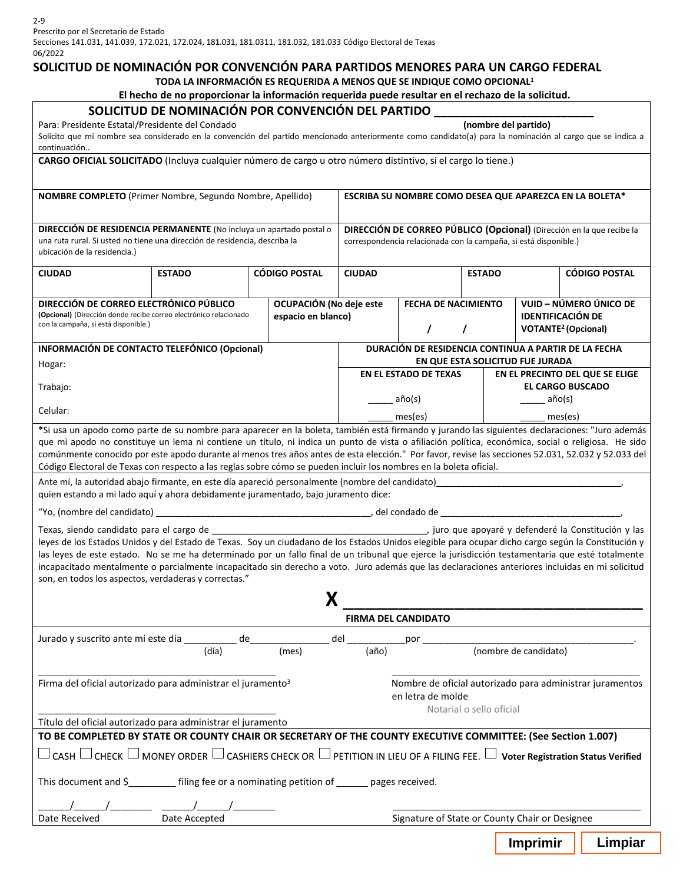Secciones 141.031, 141.039, 172.021, 172.024, 181.031, 181.0311, 181.032, 181.033 Código Electoral de Texas 06/2022

#### **SOLICITUD DE NOMINACIÓN POR CONVENCIÓN PARA PARTIDOS MENORES PARA UN CARGO FEDERAL**

**TODA LA INFORMACIÓN ES REQUERIDA A MENOS QUE SE INDIQUE COMO OPCIONAL1**

#### **El hecho de no proporcionar la información requerida puede resultar en el rechazo de la solicitud.**

| Para: Presidente Estatal/Presidente del Condado<br>continuación                                                                                                                                                                                                                                                                                                                                                                                                                                    | SOLICITUD DE NOMINACIÓN POR CONVENCIÓN DEL PARTIDO                                                        |                                               |                                                                                                                                           |                              | (nombre del partido)                                                                        | Solicito que mi nombre sea considerado en la convención del partido mencionado anteriormente como candidato(a) para la nominación al cargo que se indica a                                                                                                                                                                                                                                                                                                                                                                                                                                                      |  |  |  |  |
|----------------------------------------------------------------------------------------------------------------------------------------------------------------------------------------------------------------------------------------------------------------------------------------------------------------------------------------------------------------------------------------------------------------------------------------------------------------------------------------------------|-----------------------------------------------------------------------------------------------------------|-----------------------------------------------|-------------------------------------------------------------------------------------------------------------------------------------------|------------------------------|---------------------------------------------------------------------------------------------|-----------------------------------------------------------------------------------------------------------------------------------------------------------------------------------------------------------------------------------------------------------------------------------------------------------------------------------------------------------------------------------------------------------------------------------------------------------------------------------------------------------------------------------------------------------------------------------------------------------------|--|--|--|--|
| CARGO OFICIAL SOLICITADO (Incluya cualquier número de cargo u otro número distintivo, si el cargo lo tiene.)                                                                                                                                                                                                                                                                                                                                                                                       |                                                                                                           |                                               |                                                                                                                                           |                              |                                                                                             |                                                                                                                                                                                                                                                                                                                                                                                                                                                                                                                                                                                                                 |  |  |  |  |
| NOMBRE COMPLETO (Primer Nombre, Segundo Nombre, Apellido)                                                                                                                                                                                                                                                                                                                                                                                                                                          | ESCRIBA SU NOMBRE COMO DESEA QUE APAREZCA EN LA BOLETA*                                                   |                                               |                                                                                                                                           |                              |                                                                                             |                                                                                                                                                                                                                                                                                                                                                                                                                                                                                                                                                                                                                 |  |  |  |  |
| DIRECCIÓN DE RESIDENCIA PERMANENTE (No incluya un apartado postal o<br>una ruta rural. Si usted no tiene una dirección de residencia, describa la<br>ubicación de la residencia.)                                                                                                                                                                                                                                                                                                                  |                                                                                                           |                                               | DIRECCIÓN DE CORREO PÚBLICO (Opcional) (Dirección en la que recibe la<br>correspondencia relacionada con la campaña, si está disponible.) |                              |                                                                                             |                                                                                                                                                                                                                                                                                                                                                                                                                                                                                                                                                                                                                 |  |  |  |  |
| <b>CIUDAD</b>                                                                                                                                                                                                                                                                                                                                                                                                                                                                                      | <b>ESTADO</b>                                                                                             | <b>CÓDIGO POSTAL</b>                          | <b>CIUDAD</b>                                                                                                                             |                              | <b>ESTADO</b>                                                                               | <b>CÓDIGO POSTAL</b>                                                                                                                                                                                                                                                                                                                                                                                                                                                                                                                                                                                            |  |  |  |  |
| DIRECCIÓN DE CORREO ELECTRÓNICO PÚBLICO<br>(Opcional) (Dirección donde recibe correo electrónico relacionado<br>con la campaña, si está disponible.)                                                                                                                                                                                                                                                                                                                                               |                                                                                                           | OCUPACIÓN (No deje este<br>espacio en blanco) |                                                                                                                                           | <b>FECHA DE NACIMIENTO</b>   | VUID – NÚMERO ÚNICO DE<br><b>IDENTIFICACIÓN DE</b><br><b>VOTANTE<sup>2</sup></b> (Opcional) |                                                                                                                                                                                                                                                                                                                                                                                                                                                                                                                                                                                                                 |  |  |  |  |
| INFORMACIÓN DE CONTACTO TELEFÓNICO (Opcional)                                                                                                                                                                                                                                                                                                                                                                                                                                                      |                                                                                                           |                                               | DURACIÓN DE RESIDENCIA CONTINUA A PARTIR DE LA FECHA                                                                                      |                              |                                                                                             |                                                                                                                                                                                                                                                                                                                                                                                                                                                                                                                                                                                                                 |  |  |  |  |
| Hogar:                                                                                                                                                                                                                                                                                                                                                                                                                                                                                             |                                                                                                           |                                               |                                                                                                                                           | <b>EN EL ESTADO DE TEXAS</b> |                                                                                             | EN QUE ESTA SOLICITUD FUE JURADA<br>EN EL PRECINTO DEL QUE SE ELIGE                                                                                                                                                                                                                                                                                                                                                                                                                                                                                                                                             |  |  |  |  |
| Trabajo:                                                                                                                                                                                                                                                                                                                                                                                                                                                                                           |                                                                                                           |                                               |                                                                                                                                           | año(s)                       |                                                                                             | <b>EL CARGO BUSCADO</b><br>año(s)                                                                                                                                                                                                                                                                                                                                                                                                                                                                                                                                                                               |  |  |  |  |
| Celular:                                                                                                                                                                                                                                                                                                                                                                                                                                                                                           |                                                                                                           |                                               |                                                                                                                                           | mes(es)                      |                                                                                             | mes(es)                                                                                                                                                                                                                                                                                                                                                                                                                                                                                                                                                                                                         |  |  |  |  |
| Código Electoral de Texas con respecto a las reglas sobre cómo se pueden incluir los nombres en la boleta oficial.<br>Ante mí, la autoridad abajo firmante, en este día apareció personalmente (nombre del candidato) en el proporcomo por entre en el proporcomo en el proporcomo en el proporcomo en el proporcomo en el proporcomo en el proporco<br>quien estando a mi lado aquí y ahora debidamente juramentado, bajo juramento dice:<br>son, en todos los aspectos, verdaderas y correctas." |                                                                                                           | X                                             |                                                                                                                                           |                              |                                                                                             | comúnmente conocido por este apodo durante al menos tres años antes de esta elección." Por favor, revise las secciones 52.031, 52.032 y 52.033 del<br>leyes de los Estados Unidos y del Estado de Texas. Soy un ciudadano de los Estados Unidos elegible para ocupar dicho cargo según la Constitución y<br>las leyes de este estado. No se me ha determinado por un fallo final de un tribunal que ejerce la jurisdicción testamentaria que esté totalmente<br>incapacitado mentalmente o parcialmente incapacitado sin derecho a voto. Juro además que las declaraciones anteriores incluidas en mi solicitud |  |  |  |  |
|                                                                                                                                                                                                                                                                                                                                                                                                                                                                                                    |                                                                                                           |                                               |                                                                                                                                           | <b>FIRMA DEL CANDIDATO</b>   |                                                                                             |                                                                                                                                                                                                                                                                                                                                                                                                                                                                                                                                                                                                                 |  |  |  |  |
| Jurado y suscrito ante mí este día de                                                                                                                                                                                                                                                                                                                                                                                                                                                              | (día)                                                                                                     | (mes)                                         | del anno 1999 anno 1999 ann an t-<br>(año)                                                                                                | por                          |                                                                                             | (nombre de candidato)                                                                                                                                                                                                                                                                                                                                                                                                                                                                                                                                                                                           |  |  |  |  |
| Firma del oficial autorizado para administrar el juramento <sup>3</sup>                                                                                                                                                                                                                                                                                                                                                                                                                            | Nombre de oficial autorizado para administrar juramentos<br>en letra de molde<br>Notarial o sello oficial |                                               |                                                                                                                                           |                              |                                                                                             |                                                                                                                                                                                                                                                                                                                                                                                                                                                                                                                                                                                                                 |  |  |  |  |
| Título del oficial autorizado para administrar el juramento                                                                                                                                                                                                                                                                                                                                                                                                                                        |                                                                                                           |                                               |                                                                                                                                           |                              |                                                                                             |                                                                                                                                                                                                                                                                                                                                                                                                                                                                                                                                                                                                                 |  |  |  |  |
| TO BE COMPLETED BY STATE OR COUNTY CHAIR OR SECRETARY OF THE COUNTY EXECUTIVE COMMITTEE: (See Section 1.007)                                                                                                                                                                                                                                                                                                                                                                                       |                                                                                                           |                                               |                                                                                                                                           |                              |                                                                                             |                                                                                                                                                                                                                                                                                                                                                                                                                                                                                                                                                                                                                 |  |  |  |  |
| $\Box$ CASH $\Box$ CHECK $\Box$ MONEY ORDER $\Box$ CASHIERS CHECK OR $\Box$ PETITION IN LIEU OF A FILING FEE. $\Box$ Voter Registration Status Verified                                                                                                                                                                                                                                                                                                                                            |                                                                                                           |                                               |                                                                                                                                           |                              |                                                                                             |                                                                                                                                                                                                                                                                                                                                                                                                                                                                                                                                                                                                                 |  |  |  |  |
| This document and \$___________ filing fee or a nominating petition of ______ pages received.                                                                                                                                                                                                                                                                                                                                                                                                      |                                                                                                           |                                               |                                                                                                                                           |                              |                                                                                             |                                                                                                                                                                                                                                                                                                                                                                                                                                                                                                                                                                                                                 |  |  |  |  |
| Date Accepted<br>Date Received                                                                                                                                                                                                                                                                                                                                                                                                                                                                     | Signature of State or County Chair or Designee                                                            |                                               |                                                                                                                                           |                              |                                                                                             |                                                                                                                                                                                                                                                                                                                                                                                                                                                                                                                                                                                                                 |  |  |  |  |